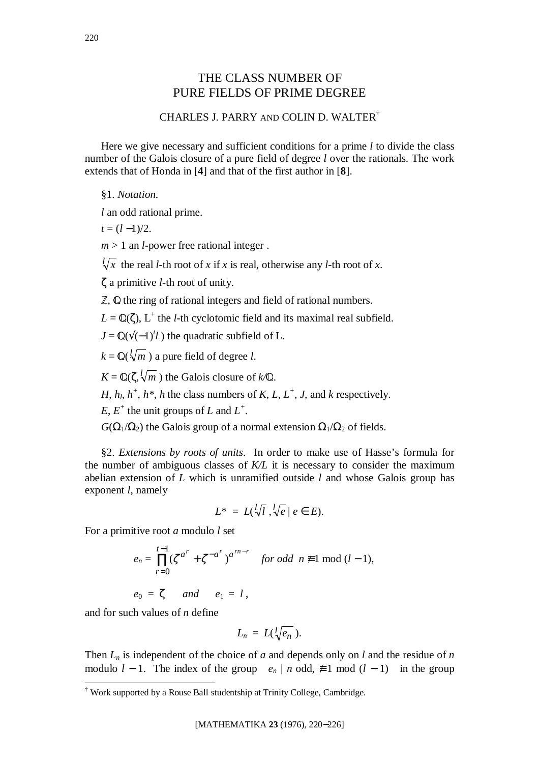# THE CLASS NUMBER OF PURE FIELDS OF PRIME DEGREE

## CHARLES J. PARRY AND COLIN D. WALTER†

Here we give necessary and sufficient conditions for a prime *l* to divide the class number of the Galois closure of a pure field of degree *l* over the rationals. The work extends that of Honda in [**4**] and that of the first author in [**8**].

§1. *Notation*.

*l* an odd rational prime.

 $t = (l - 1)/2$ .

 $m > 1$  an *l*-power free rational integer.

 $\sqrt[k]{x}$  the real *l*-th root of *x* if *x* is real, otherwise any *l*-th root of *x*.

ζ a primitive *l*-th root of unity.

 $\mathbb{Z}$ ,  $\mathbb Q$  the ring of rational integers and field of rational numbers.

 $L = \mathbb{Q}(\zeta)$ , L<sup>+</sup> the *l*-th cyclotomic field and its maximal real subfield.

 $J = \mathbb{Q}(\sqrt{(-1)^t}l)$  the quadratic subfield of L.

 $k = \mathbb{Q}(\sqrt{l/m})$  a pure field of degree *l*.

 $K = \mathbb{Q}(\zeta, \sqrt[k]{m})$  the Galois closure of  $k/\mathbb{Q}$ .

*H*,  $h_l$ ,  $h^+$ ,  $h^*$ , *h* the class numbers of *K*, *L*, *L*<sup>+</sup>, *J*, and *k* respectively.

 $E, E^+$  the unit groups of *L* and  $L^+$ .

 $G(\Omega_1/\Omega_2)$  the Galois group of a normal extension  $\Omega_1/\Omega_2$  of fields.

§2. *Extensions by roots of units*.In order to make use of Hasse's formula for the number of ambiguous classes of *K/L* it is necessary to consider the maximum abelian extension of *L* which is unramified outside *l* and whose Galois group has exponent *l*, namely

$$
L^* = L(\sqrt[l]{l}, \sqrt[l]{e} \mid e \in E).
$$

For a primitive root *a* modulo *l* set

$$
e_n = \prod_{r=0}^{t-1} (\zeta^{a^r} + \zeta^{-a^r})^{a^{rn-r}} \quad \text{for odd } n \not\equiv 1 \bmod (l-1),
$$

 $e_0 = \zeta$  *and*  $e_1 = l$ ,

and for such values of *n* define

$$
L_n = L(\sqrt[l]{e_n}).
$$

Then  $L_n$  is independent of the choice of *a* and depends only on *l* and the residue of *n* modulo  $l - 1$ . The index of the group  $\langle e_n | n \text{ odd}, \neq 1 \text{ mod } (l - 1) \rangle$  in the group

 † Work supported by a Rouse Ball studentship at Trinity College, Cambridge.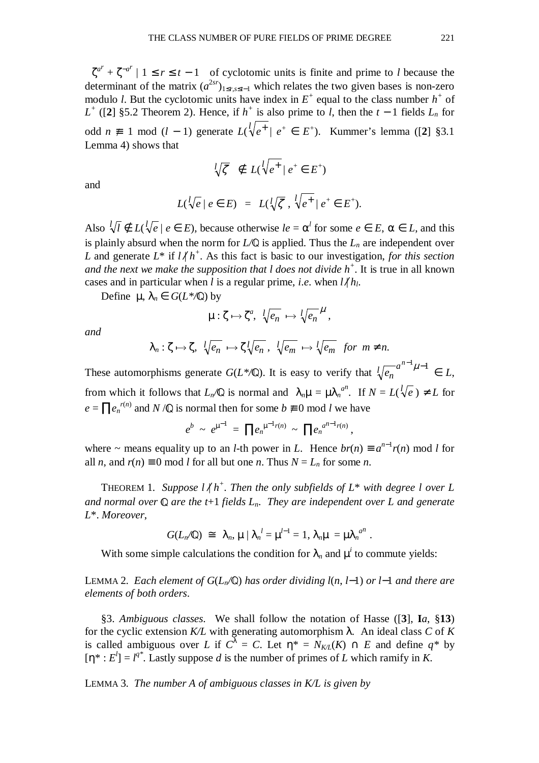$\langle \zeta^{a^r} + \zeta^{-a^r} | 1 \le r \le t - 1 \rangle$  of cyclotomic units is finite and prime to *l* because the determinant of the matrix  $(a^{2sr})_{1 \leq r,s \leq t-1}$  which relates the two given bases is non-zero modulo *l*. But the cyclotomic units have index in  $E^+$  equal to the class number  $h^+$  of *L*<sup>+</sup> ([2] §5.2 Theorem 2). Hence, if *h*<sup>+</sup> is also prime to *l*, then the *t* − 1 fields  $L_n$  for odd *n* ≢ 1 mod (*l* − 1) generate  $L(\sqrt{l}e^+ | e^+ \in E^+)$ . Kummer's lemma ([2] §3.1 Lemma 4) shows that

$$
\sqrt[l]{\zeta} \notin L(\sqrt[l]{e^+} \mid e^+ \in E^+)
$$

and

$$
L(\sqrt{l}e \mid e \in E) = L(\sqrt{l}\zeta, \sqrt{l}e^+ \mid e^+ \in E^+).
$$

Also  $\sqrt[l]{l} \notin L(\sqrt[l]{e} \mid e \in E)$ , because otherwise  $le = \alpha^l$  for some  $e \in E$ ,  $\alpha \in L$ , and this is plainly absurd when the norm for  $L/\mathbb{Q}$  is applied. Thus the  $L_n$  are independent over *L* and generate  $L^*$  if  $l \nless l \nless l$ <sup>+</sup>. As this fact is basic to our investigation, *for this section and the next we make the supposition that l does not divide h<sup>+</sup>* . It is true in all known cases and in particular when *l* is a regular prime, *i.e.* when  $l / h_l$ .

Define  $\mu$ ,  $\lambda_n \in G(L^*\mathbb{Q})$  by

$$
\mu: \zeta \mapsto \zeta^a, \ \sqrt[d]{e_n} \mapsto \sqrt[d]{e_n}^\mu,
$$

*and*

$$
\lambda_n: \zeta \mapsto \zeta, \sqrt[l]{e_n} \mapsto \zeta \sqrt[l]{e_n}, \sqrt[l]{e_m} \mapsto \sqrt[l]{e_m} \text{ for } m \neq n.
$$

These automorphisms generate  $G(L^*\mathbb{Q})$ . It is easy to verify that  $\sqrt[n]{e_n}^{a^{n-1}}\mu^{-1} \in L$ , from which it follows that  $L_n/\mathbb{Q}$  is normal and  $\lambda_n\mu = \mu \lambda_n^{a^n}$ . If  $N = L(\sqrt{l_e}) \neq L$  for  $e = \prod_{n} e_n^{r(n)}$  and *N* /**Q** is normal then for some  $b \neq 0$  mod *l* we have

$$
e^b \sim e^{\mu^{-1}} = \prod e_n^{\mu^{-1}r(n)} \sim \prod e_n^{a^{n-1}r(n)},
$$

where ~ means equality up to an *l*-th power in *L*. Hence  $br(n) \equiv a^{n-1}r(n) \mod l$  for all *n*, and  $r(n) \equiv 0 \mod l$  for all but one *n*. Thus  $N = L_n$  for some *n*.

THEOREM 1. Suppose  $l \nmid h^+$ . Then the only subfields of  $L^*$  with degree l over L *and normal over*  $\mathbb Q$  *are the t*+1 *fields*  $L_n$ . *They are independent over*  $L$  *and generate L*\*. *Moreover*,

$$
G(L_n/\mathbb{Q}) \cong \langle \lambda_n, \mu \mid \lambda_n^l = \mu^{l-1} = 1, \lambda_n \mu = \mu \lambda_n^{l} \lambda_n^l.
$$

With some simple calculations the condition for  $\lambda_n$  and  $\mu^i$  to commute yields:

<sup>L</sup>EMMA 2. *Each element of G*(*Ln/*«) *has order dividing l*(*n*, *l*−1) *or l*−1 *and there are elements of both orders*.

§3. *Ambiguous classes*.We shall follow the notation of Hasse ([**3**], **I***a*, §**13**) for the cyclic extension *K/L* with generating automorphism λ.An ideal class *C* of *K* is called ambiguous over *L* if  $C^{\lambda} = C$ . Let  $\eta^* = N_{K/L}(K) \cap E$  and define  $q^*$  by  $[\eta^*: E^l] = l^{q^*}$ . Lastly suppose *d* is the number of primes of *L* which ramify in *K*.

LEMMA 3. *The number A of ambiguous classes in K/L is given by*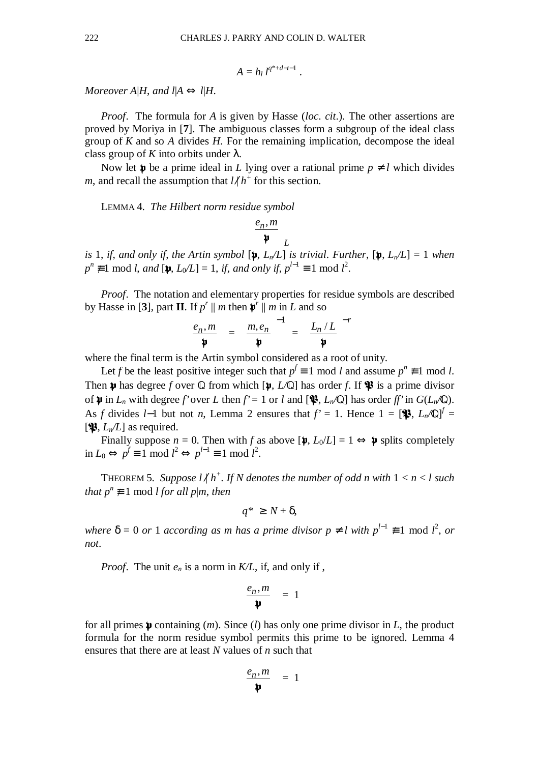$$
A=h_l l^{q^*+d-t-1}.
$$

*Moreover A|H, and*  $l | A \Leftrightarrow l | H$ *.* 

*Proof*.The formula for *A* is given by Hasse (*loc*. *cit*.). The other assertions are proved by Moriya in [**7**]. The ambiguous classes form a subgroup of the ideal class group of *K* and so *A* divides *H*. For the remaining implication, decompose the ideal class group of *K* into orbits under  $\lambda$ .

Now let  $\psi$  be a prime ideal in *L* lying over a rational prime  $p \neq l$  which divides *m*, and recall the assumption that  $l/h^+$  for this section.

LEMMA 4. *The Hilbert norm residue symbol*

$$
\left(\frac{e_n,m}{\mathfrak{p}}\right)_L
$$

*is* 1, *if*, and only *if*, the Artin symbol  $[\mathbf{\mathfrak{p}}, L_n/L]$  *is trivial. Further*,  $[\mathbf{\mathfrak{p}}, L_n/L] = 1$  when  $p^n \not\equiv 1 \mod l$ , *and*  $[\psi, L_0/L] = 1$ , *if*, *and only if*,  $p^{l-1} \equiv 1 \mod l^2$ .

*Proof.* The notation and elementary properties for residue symbols are described by Hasse in [3], part **II**. If  $p^r \parallel m$  then  $\mathbf{\psi}^r \parallel m$  in *L* and so

$$
\left(\frac{e_n,m}{\mathfrak{p}}\right) = \left(\frac{m,e_n}{\mathfrak{p}}\right)^{-1} = \left(\frac{L_n/L}{\mathfrak{p}}\right)^{-r}
$$

where the final term is the Artin symbol considered as a root of unity.

Let *f* be the least positive integer such that  $p^f \equiv 1 \text{ mod } l$  and assume  $p^n \not\equiv 1 \text{ mod } l$ . Then  $\psi$  has degree *f* over  $\mathbb Q$  from which  $[\psi, L/\mathbb Q]$  has order *f*. If  $\mathcal{F}$  is a prime divisor of  $\psi$  in  $L_n$  with degree *f'* over *L* then  $f' = 1$  or *l* and  $[\mathcal{X}, L_n/\mathbb{Q}]$  has order *ff'* in  $G(L_n/\mathbb{Q})$ . As *f* divides *l*−1 but not *n*, Lemma 2 ensures that  $f' = 1$ . Hence  $1 = [\mathbf{\mathcal{P}}, L_n \mathbb{Q}]^f = [\mathbf{\mathcal{P}}, L_n \mathbb{Q}]^f = [\mathbf{\mathcal{P}}, L_n \mathbb{Q}]^f = [\mathbf{\mathcal{P}}, L_n \mathbb{Q}]^f = [\mathbf{\mathcal{P}}, L_n \mathbb{Q}]^f = [\mathbf{\mathcal{P}}, L_n \mathbb{Q}]^f = [\mathbf{\mathcal{P}}, L_n \mathbb{Q}]^f = [\mathbf{\mathcal{P$  $[\mathbf{\mathcal{P}}, L_n/L]$  as required.

Finally suppose  $n = 0$ . Then with f as above  $[\mathfrak{p}, L_0/L] = 1 \Leftrightarrow \mathfrak{p}$  splits completely  $\sin L_0 \Leftrightarrow p^f \equiv 1 \mod l^2 \Leftrightarrow p^{l-1} \equiv 1 \mod l^2.$ 

THEOREM 5. Suppose  $l \nmid h^+$ . If N denotes the number of odd n with  $1 < n < l$  such *that*  $p^n \neq 1$  mod *l for all p*|*m*, *then* 

$$
q^* \geq N + \delta,
$$

*where*  $\delta = 0$  *or* 1 *according as m has a prime divisor*  $p \neq l$  *with*  $p^{l-1} \not\equiv 1$  mod  $l^2$ , *or not*.

*Proof.* The unit  $e_n$  is a norm in  $K/L$ , if, and only if,

$$
\left(\frac{e_n,m}{\mathfrak{p}}\right)=1
$$

for all primes  $\psi$  containing (*m*). Since (*l*) has only one prime divisor in *L*, the product formula for the norm residue symbol permits this prime to be ignored. Lemma 4 ensures that there are at least *N* values of *n* such that

$$
\left(\frac{e_n,m}{\mathfrak{p}}\right)=1
$$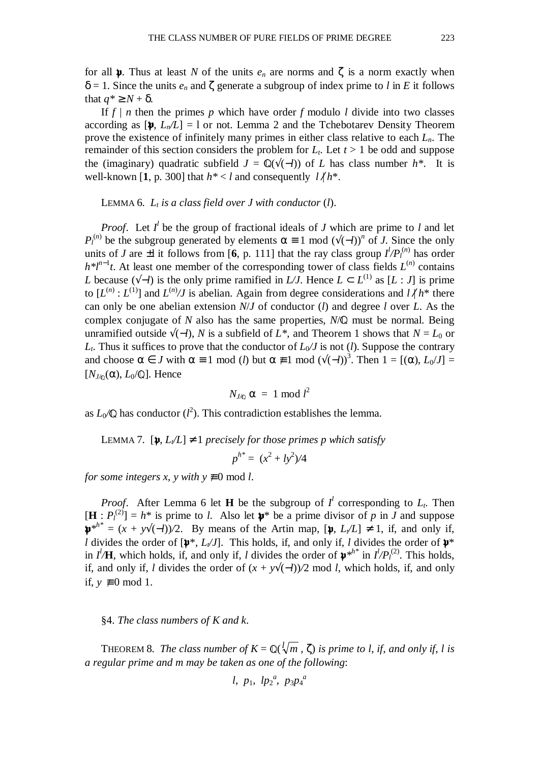for all  $\psi$ . Thus at least *N* of the units  $e_n$  are norms and  $\zeta$  is a norm exactly when  $\delta = 1$ . Since the units  $e_n$  and  $\zeta$  generate a subgroup of index prime to *l* in *E* it follows that  $q^* \geq N + \delta$ .

If  $f \mid n$  then the primes  $p$  which have order  $f$  modulo  $l$  divide into two classes according as  $[\mathbf{\mathfrak{p}}, L_n/L] = 1$  or not. Lemma 2 and the Tchebotarev Density Theorem prove the existence of infinitely many primes in either class relative to each *Ln*. The remainder of this section considers the problem for  $L_t$ . Let  $t > 1$  be odd and suppose the (imaginary) quadratic subfield  $J = \mathbb{Q}(\sqrt{(-l)})$  of *L* has class number  $h^*$ . It is well-known [1, p. 300] that  $h^* < l$  and consequently  $l / h^*$ .

#### LEMMA 6.  $L_t$  *is a class field over J with conductor*  $(l)$ *.*

*Proof.* Let  $I^l$  be the group of fractional ideals of *J* which are prime to *l* and let *P*<sup>*ln*</sup>) be the subgroup generated by elements  $\alpha \equiv 1 \mod (\sqrt{(-l)})^n$  of *J*. Since the only units of *J* are  $\pm$ l it follows from [6, p. 111] that the ray class group  $I^l/P_l^{(n)}$  has order  $h^{*}l^{n-1}t$ . At least one member of the corresponding tower of class fields  $L^{(n)}$  contains *L* because ( $\sqrt{-l}$ ) is the only prime ramified in *L*/*J*. Hence  $L \subset L^{(1)}$  as  $[L : J]$  is prime to  $[L^{(n)}: L^{(1)}]$  and  $L^{(n)}/J$  is abelian. Again from degree considerations and  $l \nmid h^*$  there can only be one abelian extension *N*/*J* of conductor (*l*) and degree *l* over *L*. As the complex conjugate of  $N$  also has the same properties,  $N/\mathbb{Q}$  must be normal. Being unramified outside  $\sqrt{(-l)}$ , *N* is a subfield of *L*<sup>\*</sup>, and Theorem 1 shows that *N* = *L*<sub>0</sub> or  $L_t$ . Thus it suffices to prove that the conductor of  $L_0/J$  is not (*l*). Suppose the contrary and choose  $\alpha \in J$  with  $\alpha \equiv 1 \mod (l)$  but  $\alpha \not\equiv 1 \mod (\sqrt{l}(-l))^3$ . Then  $1 = [(\alpha), L_0/J] =$  $[N_{J/\n{\infty}}(\alpha), L_0/\mathbb{Q}]$ . Hence

$$
N_{J/\mathbb{Q}} \alpha = 1 \bmod l^2
$$

as  $L_0$  as conductor  $(l^2)$ . This contradiction establishes the lemma.

LEMMA 7.  $[\mathbf{p}, L/L] \neq 1$  *precisely for those primes p which satisfy* 

$$
p^{h^*} = (x^2 + ly^2)/4
$$

*for some integers x, y with y*  $\neq$  0 mod *l*.

*Proof.* After Lemma 6 let **H** be the subgroup of  $I^l$  corresponding to  $L_t$ . Then  $[\mathbf{H}: P_l^{(2)}] = h^*$  is prime to *l*. Also let  $\mathbf{\psi}^*$  be a prime divisor of *p* in *J* and suppose  $\mathbf{\hat{p}}^{*h^*} = (x + y\sqrt{(-l)})/2$ . By means of the Artin map,  $[\mathbf{\hat{p}}, L\sqrt{L}] \neq 1$ , if, and only if, *l* divides the order of  $[\psi^*, L/J]$ . This holds, if, and only if, *l* divides the order of  $\psi^*$ in  $I^l$ **/H**, which holds, if, and only if, *l* divides the order of  $\psi^{*h^*}$  in  $I^l/P_l^{(2)}$ . This holds, if, and only if, *l* divides the order of  $(x + y)(-l)/2$  mod *l*, which holds, if, and only if,  $y \not\equiv 0$  mod 1.

## §4. *The class numbers of K and k*.

THEOREM 8. *The class number of*  $K = \mathbb{Q}(\sqrt[m]{m}, \zeta)$  *is prime to l, if, and only if, l is a regular prime and m may be taken as one of the following*:

$$
l, p_1, lp_2^a, p_3p_4^a
$$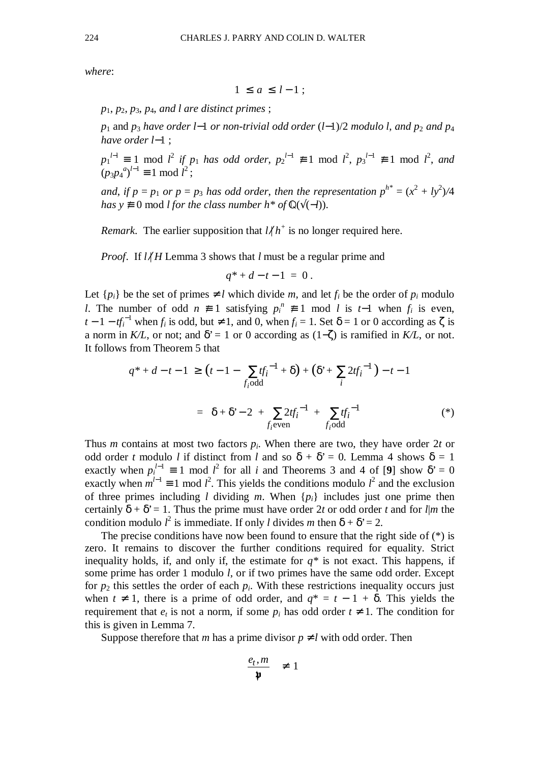*where*:

$$
1 \le a \le l-1 \; ;
$$

*p*1, *p*2, *p*3, *p*4, *and l are distinct primes* ;

*p*<sub>1</sub> and *p*<sub>3</sub> have order *l*−1 *or non-trivial odd order* (*l*−1)/2 *modulo l, and p*<sub>2</sub> *and p*<sub>4</sub> *have order l*−1 ;

 $p_1^{l-1} \equiv 1 \mod l^2$  *if*  $p_1$  *has odd order*,  $p_2^{l-1} \not\equiv 1 \mod l^2$ ,  $p_3^{l-1} \not\equiv 1 \mod l^2$ , and  $(p_3 p_4^a)^{l-1} \equiv 1 \text{ mod } l^2;$ 

*and, if*  $p = p_1$  *or*  $p = p_3$  *has odd order, then the representation*  $p^{h^*} = (x^2 + ly^2)/4$ *has*  $y \neq 0$  mod *l for the class number h\* of*  $\mathbb{Q}(\sqrt{(-l)})$ .

*Remark*. The earlier supposition that  $l/h^+$  is no longer required here.

*Proof.* If  $l/H$  Lemma 3 shows that *l* must be a regular prime and

$$
q^* + d - t - 1 = 0.
$$

Let  $\{p_i\}$  be the set of primes  $\neq l$  which divide *m*, and let  $f_i$  be the order of  $p_i$  modulo *l*. The number of odd  $n \neq 1$  satisfying  $p_i^n \neq 1$  mod *l* is *t*-1 when  $f_i$  is even, *t* − 1 − *tf*<sup> $^{-1}$ </sup> when *f*<sup>*i*</sup> is odd, but ≠ 1, and 0, when *f*<sup>*i*</sup> = 1. Set  $\delta$  = 1 or 0 according as  $\zeta$  is a norm in *K/L*, or not; and  $\delta' = 1$  or 0 according as (1–ζ) is ramified in *K/L*, or not. It follows from Theorem 5 that

$$
q^* + d - t - 1 \ge (t - 1 - \sum_{f_i \text{odd}} t_f^{-1} + \delta) + (\delta^* + \sum_i 2t_f^{-1}) - t - 1
$$
  
=  $\delta + \delta^* - 2 + \sum_{f_i \text{even}} 2t_f^{-1} + \sum_{f_i \text{odd}} t_f^{-1}$  (\*)

Thus *m* contains at most two factors  $p_i$ . When there are two, they have order 2*t* or odd order *t* modulo *l* if distinct from *l* and so  $\delta + \delta' = 0$ . Lemma 4 shows  $\delta = 1$ exactly when  $p_i^{l-1} \equiv 1 \mod l^2$  for all *i* and Theorems 3 and 4 of [9] show  $\delta' = 0$ exactly when  $m^{l-1} \equiv 1 \mod l^2$ . This yields the conditions modulo  $l^2$  and the exclusion of three primes including *l* dividing *m*. When  $\{p_i\}$  includes just one prime then certainly  $\delta + \delta' = 1$ . Thus the prime must have order 2*t* or odd order *t* and for *l|m* the condition modulo  $l^2$  is immediate. If only *l* divides *m* then  $\delta + \delta^2 = 2$ .

The precise conditions have now been found to ensure that the right side of  $(*)$  is zero. It remains to discover the further conditions required for equality. Strict inequality holds, if, and only if, the estimate for  $q^*$  is not exact. This happens, if some prime has order 1 modulo *l*, or if two primes have the same odd order. Except for  $p_2$  this settles the order of each  $p_i$ . With these restrictions inequality occurs just when  $t \neq 1$ , there is a prime of odd order, and  $q^* = t - 1 + \delta$ . This yields the requirement that  $e_t$  is not a norm, if some  $p_i$  has odd order  $t \neq 1$ . The condition for this is given in Lemma 7.

Suppose therefore that *m* has a prime divisor  $p \neq l$  with odd order. Then

$$
\left(\frac{e_t, m}{\mathfrak{p}}\right) \neq 1
$$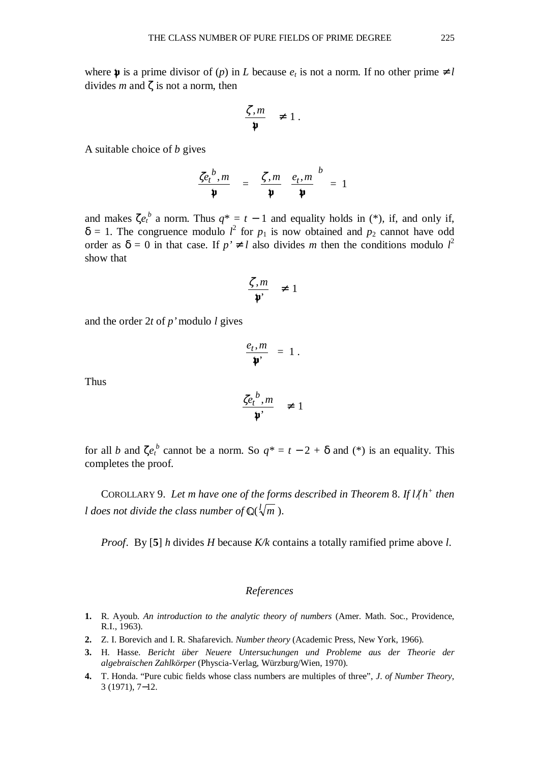where  $\mathfrak{p}$  is a prime divisor of (*p*) in *L* because  $e_t$  is not a norm. If no other prime  $\neq l$ divides *m* and ζ is not a norm, then

$$
\left(\frac{\zeta,m}{\mathfrak{p}}\right) \neq 1.
$$

A suitable choice of *b* gives

$$
\left(\frac{\zeta e_t^{b}, m}{\mathbf{\psi}}\right) = \left(\frac{\zeta, m}{\mathbf{\psi}}\right) \left(\frac{e_t, m}{\mathbf{\psi}}\right)^b = 1
$$

and makes  $\zeta e_t^b$  a norm. Thus  $q^* = t - 1$  and equality holds in (\*), if, and only if,  $\delta = 1$ . The congruence modulo  $l^2$  for  $p_1$  is now obtained and  $p_2$  cannot have odd order as  $\delta = 0$  in that case. If  $p' \neq l$  also divides *m* then the conditions modulo  $l^2$ show that

$$
\left(\frac{\zeta,m}{\mathfrak{p}'}\right) \neq 1
$$

and the order 2*t* of *p'* modulo *l* gives

$$
\left(\frac{e_t,m}{\mathfrak{p}'}\right)=1.
$$

Thus

$$
\left(\frac{\zeta e_t^b, m}{\mathfrak{p}'}\right) \neq 1
$$

for all *b* and  $\zeta e^b$  cannot be a norm. So  $q^* = t - 2 + \delta$  and (\*) is an equality. This completes the proof.

COROLLARY 9. Let m have one of the forms described in Theorem 8. If  $l \nmid h^+$  then *l* does not divide the class number of  $\mathbb{Q}(\sqrt{l/m})$ .

*Proof*.By [**5**] *h* divides *H* because *K/k* contains a totally ramified prime above *l*.

## *References*

- **1.** R. Ayoub. *An introduction to the analytic theory of numbers* (Amer. Math. Soc., Providence, R.I., 1963).
- **2.** Z. I. Borevich and I. R. Shafarevich. *Number theory* (Academic Press, New York, 1966).
- **3.** H. Hasse. *Bericht über Neuere Untersuchungen und Probleme aus der Theorie der algebraischen Zahlkörper* (Physcia-Verlag, Würzburg/Wien, 1970).
- **4.** T. Honda. "Pure cubic fields whose class numbers are multiples of three", *J*. *of Number Theory*, 3 (1971), 7−12.